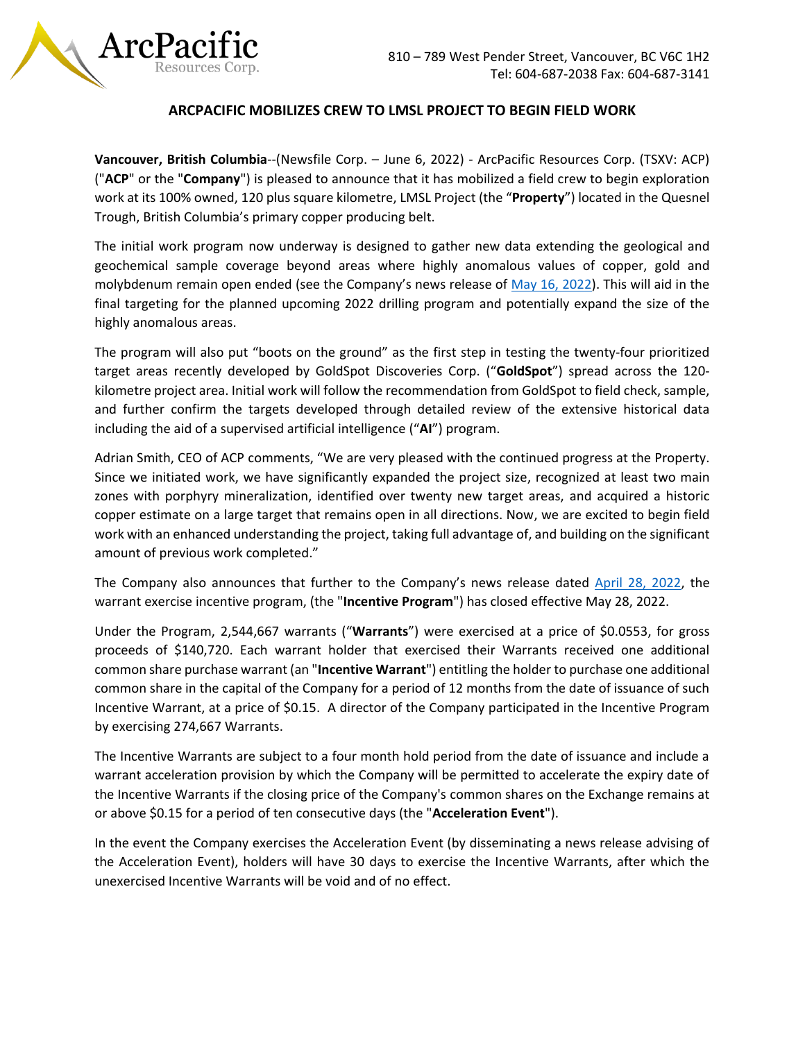

## **ARCPACIFIC MOBILIZES CREW TO LMSL PROJECT TO BEGIN FIELD WORK**

**Vancouver, British Columbia**--(Newsfile Corp. – June 6, 2022) - ArcPacific Resources Corp. (TSXV: ACP) ("**ACP**" or the "**Company**") is pleased to announce that it has mobilized a field crew to begin exploration work at its 100% owned, 120 plus square kilometre, LMSL Project (the "**Property**") located in the Quesnel Trough, British Columbia's primary copper producing belt.

The initial work program now underway is designed to gather new data extending the geological and geochemical sample coverage beyond areas where highly anomalous values of copper, gold and molybdenum remain open ended (see the Company's news release of [May 16, 2022\)](https://www.newsfilecorp.com/company/6963/ArcPacific-Resources-Corp.). This will aid in the final targeting for the planned upcoming 2022 drilling program and potentially expand the size of the highly anomalous areas.

The program will also put "boots on the ground" as the first step in testing the twenty-four prioritized target areas recently developed by GoldSpot Discoveries Corp. ("**GoldSpot**") spread across the 120 kilometre project area. Initial work will follow the recommendation from GoldSpot to field check, sample, and further confirm the targets developed through detailed review of the extensive historical data including the aid of a supervised artificial intelligence ("**AI**") program.

Adrian Smith, CEO of ACP comments, "We are very pleased with the continued progress at the Property. Since we initiated work, we have significantly expanded the project size, recognized at least two main zones with porphyry mineralization, identified over twenty new target areas, and acquired a historic copper estimate on a large target that remains open in all directions. Now, we are excited to begin field work with an enhanced understanding the project, taking full advantage of, and building on the significant amount of previous work completed."

The Company also announces that further to the Company's news release dated [April 28, 2022,](https://www.newsfilecorp.com/release/122095/ArcPacific-Receives-Approval-for-Repriced-Warrants-and-Announces-Warrant-Exercise-Incentive-Program) the warrant exercise incentive program, (the "**Incentive Program**") has closed effective May 28, 2022.

Under the Program, 2,544,667 warrants ("**Warrants**") were exercised at a price of \$0.0553, for gross proceeds of \$140,720. Each warrant holder that exercised their Warrants received one additional common share purchase warrant (an "**Incentive Warrant**") entitling the holder to purchase one additional common share in the capital of the Company for a period of 12 months from the date of issuance of such Incentive Warrant, at a price of \$0.15. A director of the Company participated in the Incentive Program by exercising 274,667 Warrants.

The Incentive Warrants are subject to a four month hold period from the date of issuance and include a warrant acceleration provision by which the Company will be permitted to accelerate the expiry date of the Incentive Warrants if the closing price of the Company's common shares on the Exchange remains at or above \$0.15 for a period of ten consecutive days (the "**Acceleration Event**").

In the event the Company exercises the Acceleration Event (by disseminating a news release advising of the Acceleration Event), holders will have 30 days to exercise the Incentive Warrants, after which the unexercised Incentive Warrants will be void and of no effect.